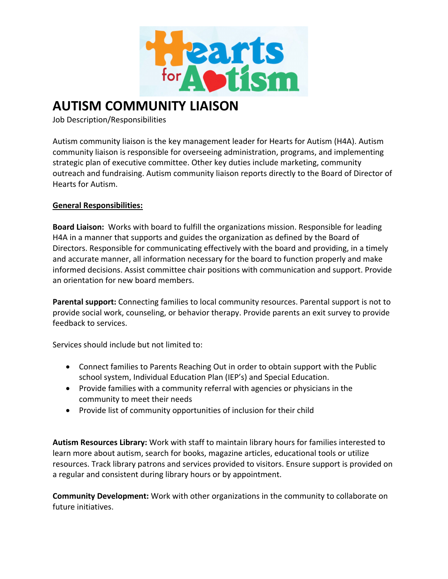

# **AUTISM COMMUNITY LIAISON**

Job Description/Responsibilities

Autism community liaison is the key management leader for Hearts for Autism (H4A). Autism community liaison is responsible for overseeing administration, programs, and implementing strategic plan of executive committee. Other key duties include marketing, community outreach and fundraising. Autism community liaison reports directly to the Board of Director of Hearts for Autism.

# **General Responsibilities:**

**Board Liaison:** Works with board to fulfill the organizations mission. Responsible for leading H4A in a manner that supports and guides the organization as defined by the Board of Directors. Responsible for communicating effectively with the board and providing, in a timely and accurate manner, all information necessary for the board to function properly and make informed decisions. Assist committee chair positions with communication and support. Provide an orientation for new board members.

**Parental support:** Connecting families to local community resources. Parental support is not to provide social work, counseling, or behavior therapy. Provide parents an exit survey to provide feedback to services.

Services should include but not limited to:

- Connect families to Parents Reaching Out in order to obtain support with the Public school system, Individual Education Plan (IEP's) and Special Education.
- Provide families with a community referral with agencies or physicians in the community to meet their needs
- Provide list of community opportunities of inclusion for their child

**Autism Resources Library:** Work with staff to maintain library hours for families interested to learn more about autism, search for books, magazine articles, educational tools or utilize resources. Track library patrons and services provided to visitors. Ensure support is provided on a regular and consistent during library hours or by appointment.

**Community Development:** Work with other organizations in the community to collaborate on future initiatives.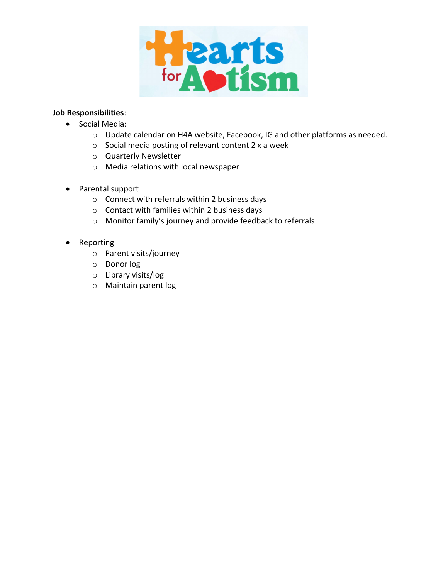

# **Job Responsibilities**:

- Social Media:
	- o Update calendar on H4A website, Facebook, IG and other platforms as needed.
	- o Social media posting of relevant content 2 x a week
	- o Quarterly Newsletter
	- o Media relations with local newspaper
- Parental support
	- o Connect with referrals within 2 business days
	- o Contact with families within 2 business days
	- o Monitor family's journey and provide feedback to referrals
- Reporting
	- o Parent visits/journey
	- o Donor log
	- o Library visits/log
	- o Maintain parent log